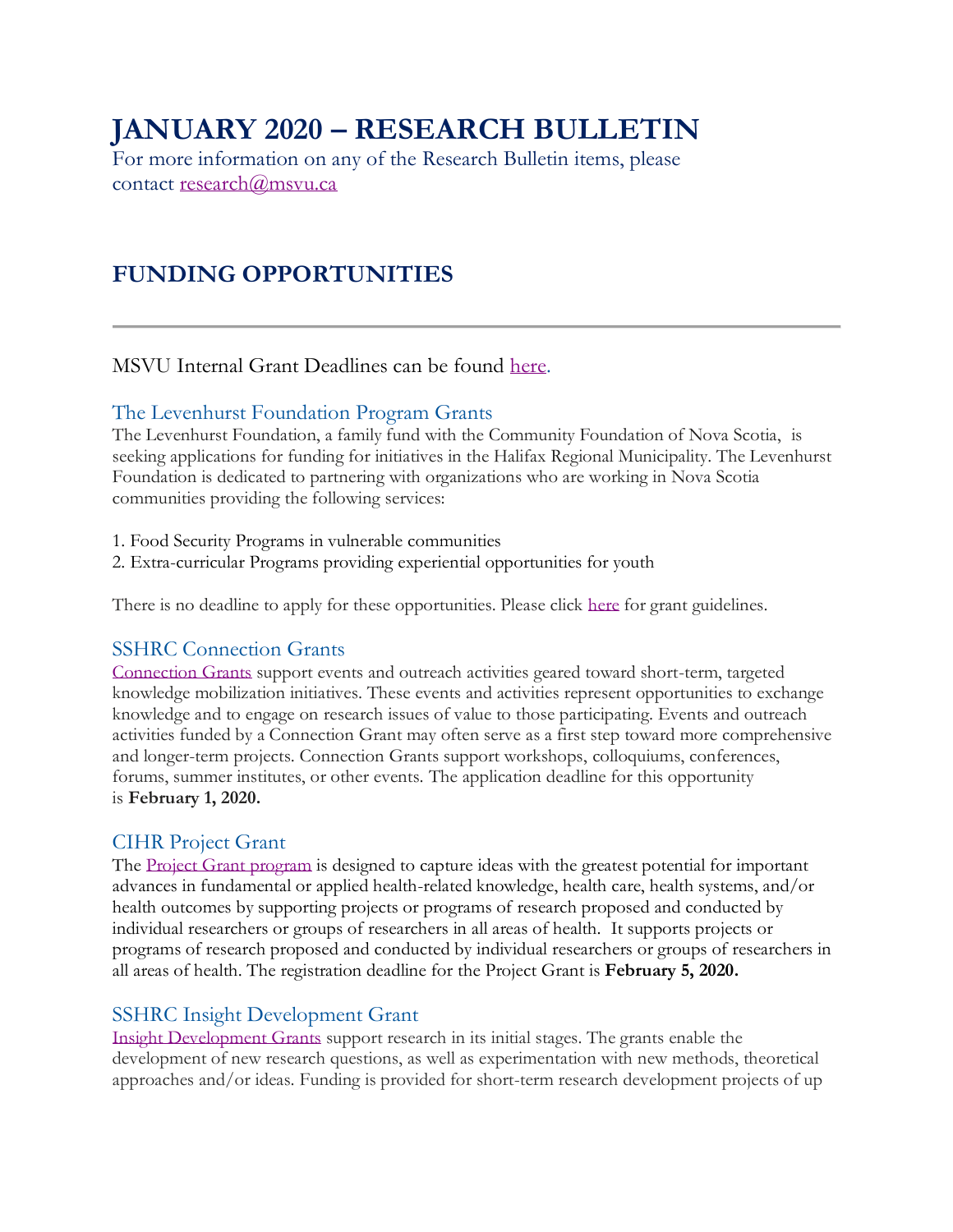# **JANUARY 2020 – RESEARCH BULLETIN**

For more information on any of the Research Bulletin items, please contact [research@msvu.ca](mailto:research@msvu.ca)

## **FUNDING OPPORTUNITIES**

## MSVU Internal Grant Deadlines can be found [here.](https://www.msvu.ca/en/home/research/externalgrants/internalgrants.aspx)

#### The Levenhurst Foundation Program Grants

The Levenhurst Foundation, a family fund with the Community Foundation of Nova Scotia, is seeking applications for funding for initiatives in the Halifax Regional Municipality. The Levenhurst Foundation is dedicated to partnering with organizations who are working in Nova Scotia communities providing the following services:

- 1. Food Security Programs in vulnerable communities
- 2. Extra-curricular Programs providing experiential opportunities for youth

There is no deadline to apply for these opportunities. Please click [here](https://www.levenhurst.com/grant-guidelines) for grant guidelines.

## SSHRC Connection Grants

[Connection Grants](https://www.sshrc-crsh.gc.ca/funding-financement/programs-programmes/connection_grants-subventions_connexion-eng.aspx) support events and outreach activities geared toward short-term, targeted knowledge mobilization initiatives. These events and activities represent opportunities to exchange knowledge and to engage on research issues of value to those participating. Events and outreach activities funded by a Connection Grant may often serve as a first step toward more comprehensive and longer-term projects. Connection Grants support workshops, colloquiums, conferences, forums, summer institutes, or other events. The application deadline for this opportunity is **February 1, 2020.**

## CIHR Project Grant

The [Project Grant program](https://www.researchnet-recherchenet.ca/rnr16/vwOpprtntyDtls.do?prog=3117&view=currentOpps&type=EXACT&resultCount=25&sort=program&next=1&all=1&masterList=true) is designed to capture ideas with the greatest potential for important advances in fundamental or applied health-related knowledge, health care, health systems, and/or health outcomes by supporting projects or programs of research proposed and conducted by individual researchers or groups of researchers in all areas of health. It supports projects or programs of research proposed and conducted by individual researchers or groups of researchers in all areas of health. The registration deadline for the Project Grant is **February 5, 2020.**

## SSHRC Insight Development Grant

[Insight Development Grants](https://www.sshrc-crsh.gc.ca/funding-financement/programs-programmes/insight_development_grants-subventions_de_developpement_savoir-eng.aspx) support research in its initial stages. The grants enable the development of new research questions, as well as experimentation with new methods, theoretical approaches and/or ideas. Funding is provided for short-term research development projects of up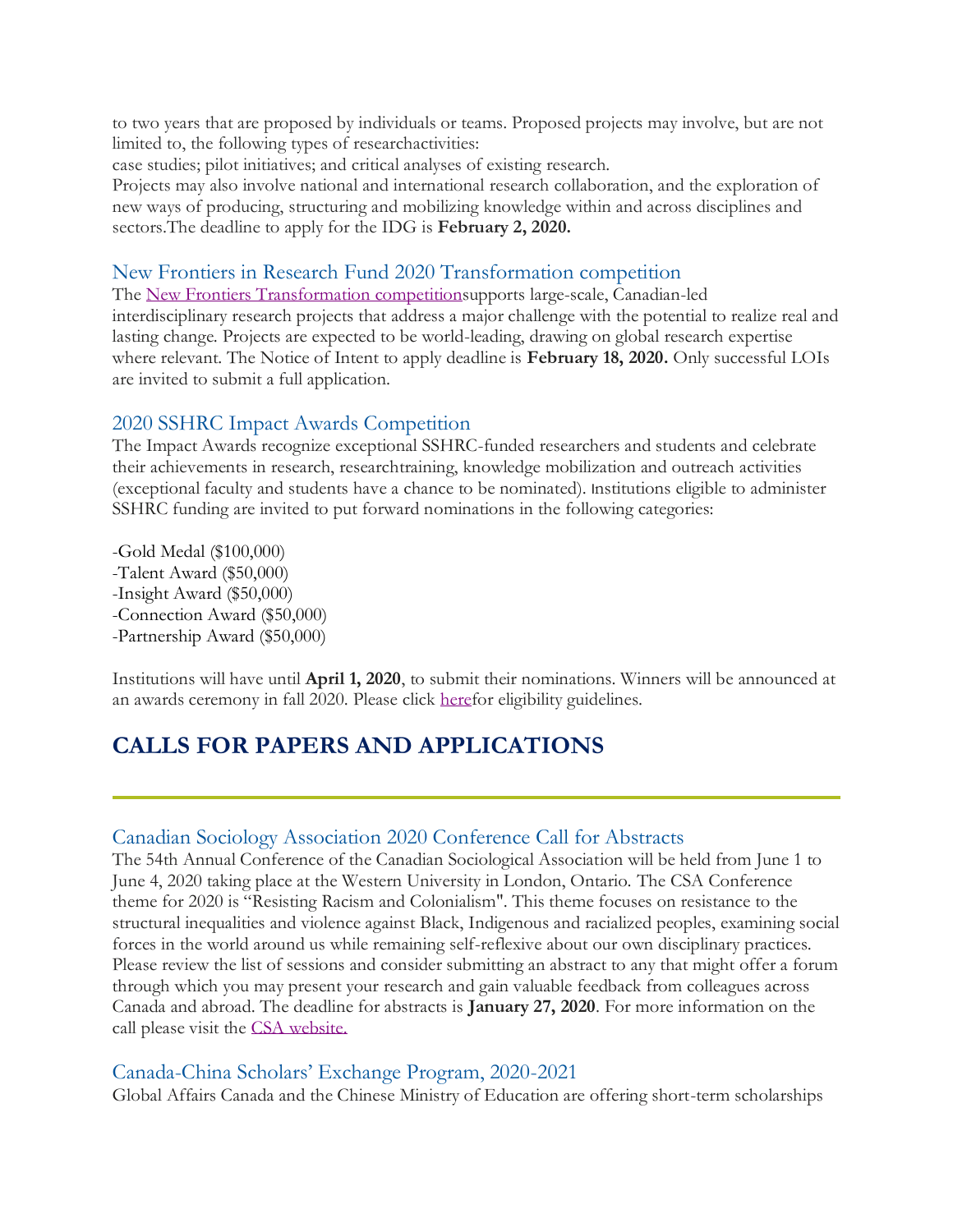to two years that are proposed by individuals or teams. Proposed projects may involve, but are not limited to, the following types of researchactivities:

case studies; pilot initiatives; and critical analyses of existing research.

Projects may also involve national and international research collaboration, and the exploration of new ways of producing, structuring and mobilizing knowledge within and across disciplines and sectors.The deadline to apply for the IDG is **February 2, 2020.**

#### New Frontiers in Research Fund 2020 Transformation competition

The [New Frontiers Transformation competitions](https://www.sshrc-crsh.gc.ca/funding-financement/nfrf-fnfr/transformation/2020/competition-concours-eng.aspx)upports large-scale, Canadian-led interdisciplinary research projects that address a major challenge with the potential to realize real and lasting change. Projects are expected to be world-leading, drawing on global research expertise where relevant. The Notice of Intent to apply deadline is **February 18, 2020.** Only successful LOIs are invited to submit a full application.

#### 2020 SSHRC Impact Awards Competition

The Impact Awards recognize exceptional SSHRC-funded researchers and students and celebrate their achievements in research, researchtraining, knowledge mobilization and outreach activities (exceptional faculty and students have a chance to be nominated). Institutions eligible to administer SSHRC funding are invited to put forward nominations in the following categories:

-Gold Medal (\$100,000) -Talent Award (\$50,000) -Insight Award (\$50,000) -Connection Award (\$50,000) -Partnership Award (\$50,000)

Institutions will have until **April 1, 2020**, to submit their nominations. Winners will be announced at an awards ceremony in fall 2020. Please click [heref](https://www.sshrc-crsh.gc.ca/about-au_sujet/policies-politiques/statements-enonces/institutional_eligibility-admissibilite_etablissements-eng.aspx)or eligibility guidelines.

## **CALLS FOR PAPERS AND APPLICATIONS**

#### Canadian Sociology Association 2020 Conference Call for Abstracts

The 54th Annual Conference of the Canadian Sociological Association will be held from June 1 to June 4, 2020 taking place at the Western University in London, Ontario. The CSA Conference theme for 2020 is "Resisting Racism and Colonialism". This theme focuses on resistance to the structural inequalities and violence against Black, Indigenous and racialized peoples, examining social forces in the world around us while remaining self-reflexive about our own disciplinary practices. Please review the list of sessions and consider submitting an abstract to any that might offer a forum through which you may present your research and gain valuable feedback from colleagues across Canada and abroad. The deadline for abstracts is **January 27, 2020**. For more information on the call please visit the [CSA website.](https://www.csa-scs.ca/conference/call-for-abstracts/)

#### Canada-China Scholars' Exchange Program, 2020-2021

Global Affairs Canada and the Chinese Ministry of Education are offering short-term scholarships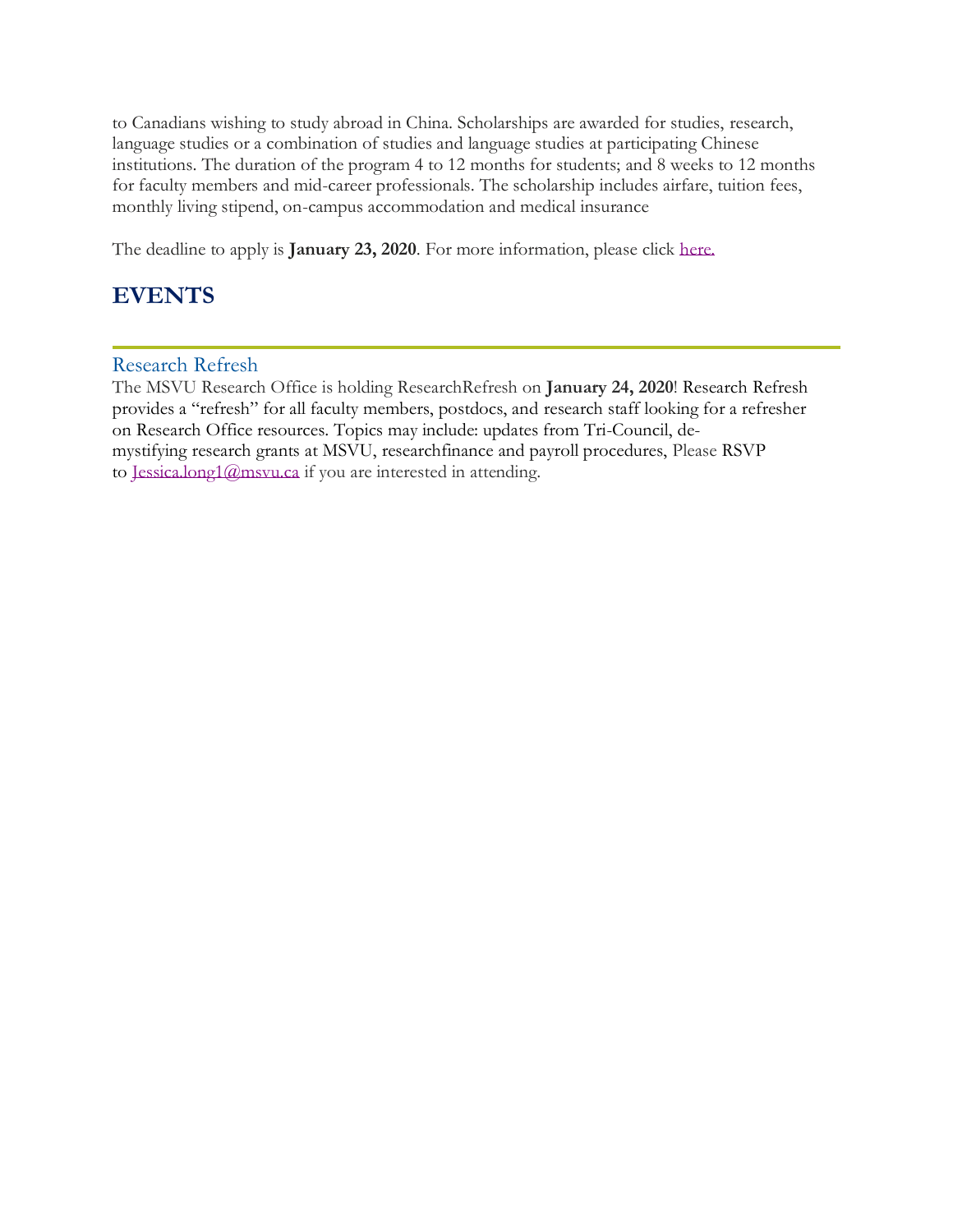to Canadians wishing to study abroad in China. Scholarships are awarded for studies, research, language studies or a combination of studies and language studies at participating Chinese institutions. The duration of the program 4 to 12 months for students; and 8 weeks to 12 months for faculty members and mid-career professionals. The scholarship includes airfare, tuition fees, monthly living stipend, on-campus accommodation and medical insurance

The deadline to apply is **January 23, 2020**. For more information, please click [here.](https://www.educanada.ca/scholarships-bourses/can/ccsep-peucc.aspx?lang=eng)

## **EVENTS**

Research Refresh

The MSVU Research Office is holding ResearchRefresh on **January 24, 2020**! Research Refresh provides a "refresh" for all faculty members, postdocs, and research staff looking for a refresher on Research Office resources. Topics may include: updates from Tri-Council, demystifying research grants at MSVU, researchfinance and payroll procedures, Please RSVP to [Jessica.long1@msvu.ca](mailto:Jessica.long1@msvu.ca) if you are interested in attending.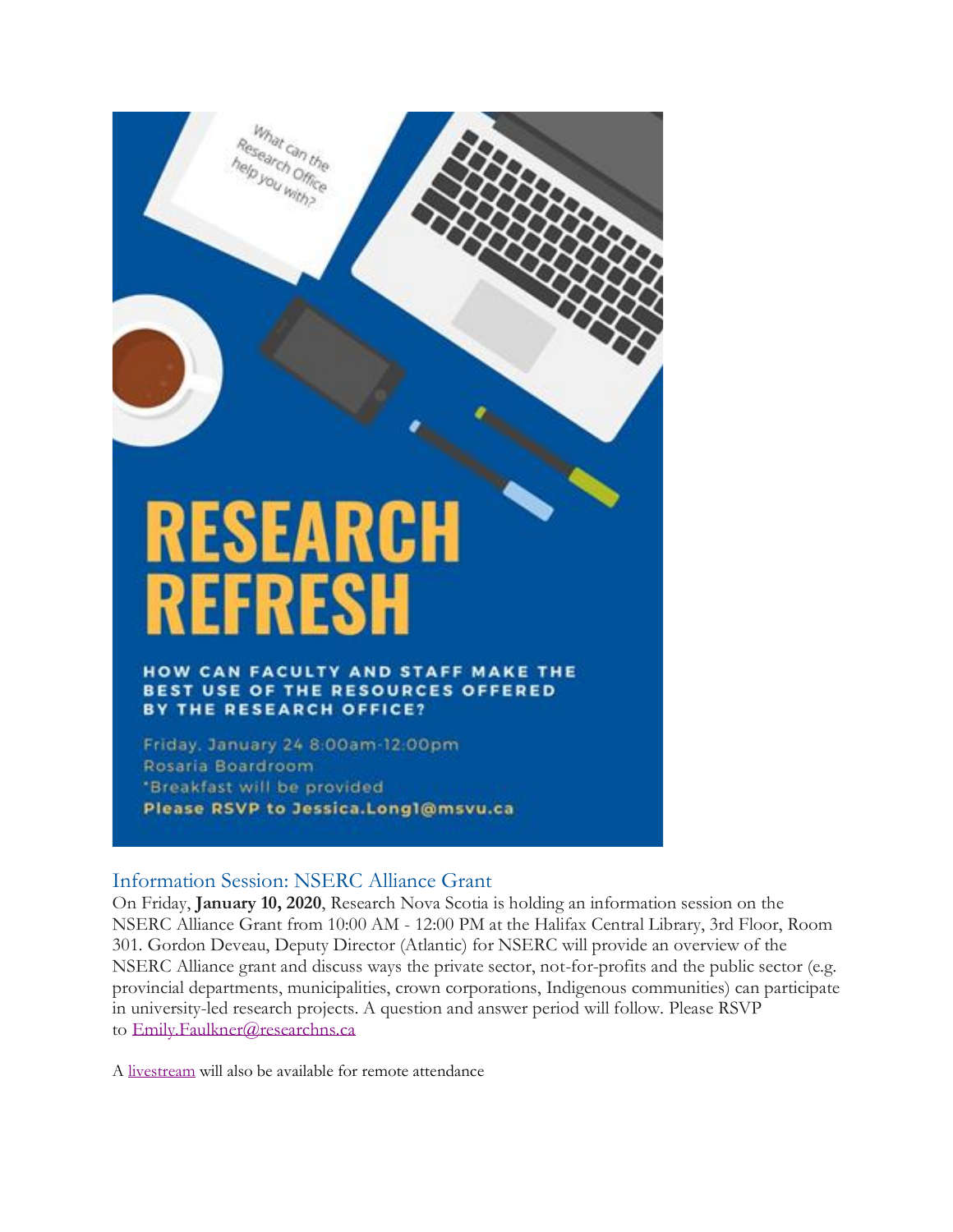

rmat can the vou with?

HOW CAN FACULTY AND STAFF MAKE THE **BEST USE OF THE RESOURCES OFFERED** BY THE RESEARCH OFFICE?

Friday, January 24 8:00am-12:00pm Rosaria Boardroom \*Breakfast will be provided Please RSVP to Jessica.Long1@msvu.ca

#### Information Session: NSERC Alliance Grant

On Friday, **January 10, 2020**, Research Nova Scotia is holding an information session on the NSERC Alliance Grant from 10:00 AM - 12:00 PM at the Halifax Central Library, 3rd Floor, Room 301. Gordon Deveau, Deputy Director (Atlantic) for NSERC will provide an overview of the NSERC Alliance grant and discuss ways the private sector, not-for-profits and the public sector (e.g. provincial departments, municipalities, crown corporations, Indigenous communities) can participate in university-led research projects. A question and answer period will follow. Please RSVP to [Emily.Faulkner@researchns.ca](mailto:Emily.Faulkner@researchns.ca)

A [livestream](https://livestream.com/accounts/3481024/events/8926841/player?width=640&height=360&enableInfoAndActivity=true&defaultDrawer=&autoPlay=true&mute=false) will also be available for remote attendance